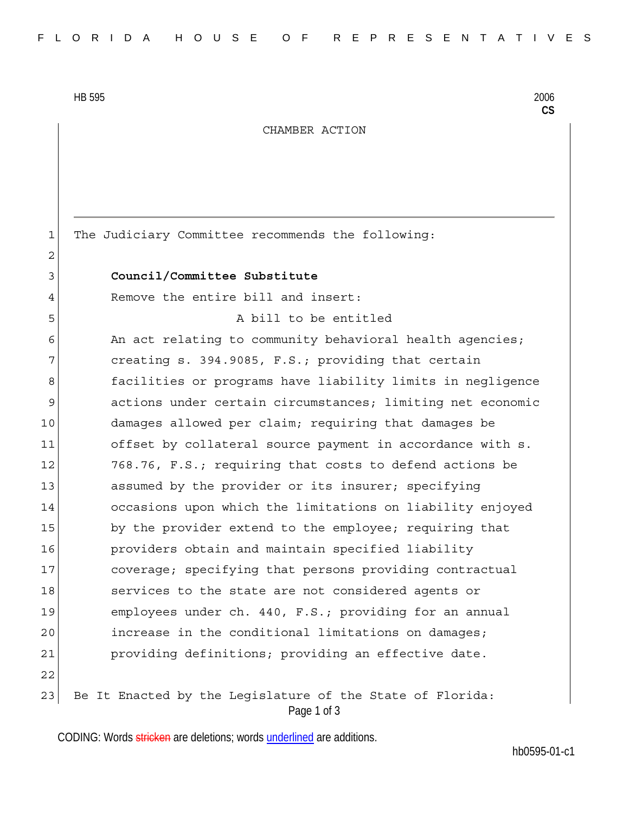HB 595 2006

2

**CS**

## CHAMBER ACTION

1 The Judiciary Committee recommends the following:

## 3 **Council/Committee Substitute**

4 Remove the entire bill and insert:

5 A bill to be entitled

6 An act relating to community behavioral health agencies; 7 creating s. 394.9085, F.S.; providing that certain 8 6 6 facilities or programs have liability limits in negligence 9 actions under certain circumstances; limiting net economic 10 damages allowed per claim; requiring that damages be 11 offset by collateral source payment in accordance with s. 12 768.76, F.S.; requiring that costs to defend actions be 13 assumed by the provider or its insurer; specifying 14 occasions upon which the limitations on liability enjoyed 15 by the provider extend to the employee; requiring that 16 providers obtain and maintain specified liability 17 coverage; specifying that persons providing contractual 18 Services to the state are not considered agents or 19 employees under ch. 440, F.S.; providing for an annual 20 increase in the conditional limitations on damages; 21 providing definitions; providing an effective date. 22

Page 1 of 3 23 Be It Enacted by the Legislature of the State of Florida:

CODING: Words stricken are deletions; words underlined are additions.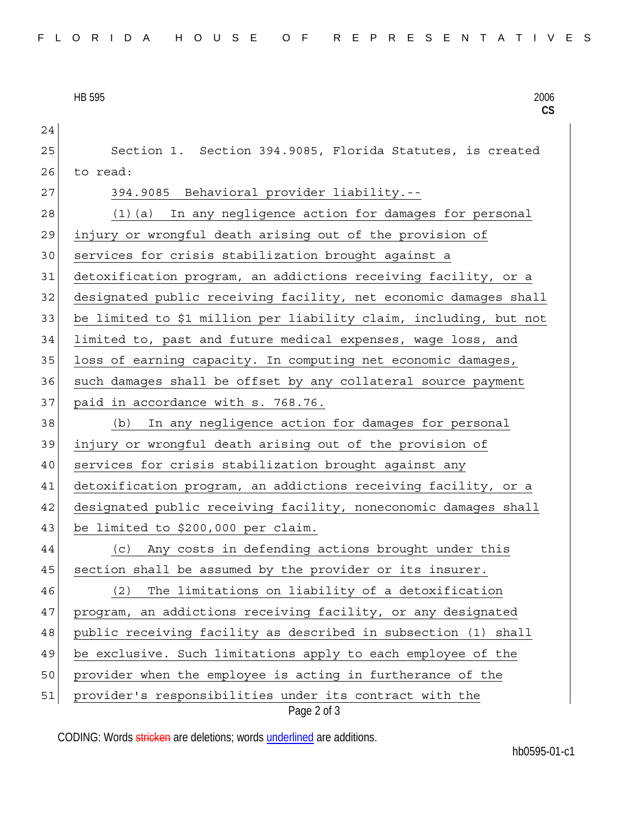HB 595 2006

| 24 |                                                                        |
|----|------------------------------------------------------------------------|
| 25 | Section 1. Section 394.9085, Florida Statutes, is created              |
| 26 | to read:                                                               |
| 27 | 394.9085 Behavioral provider liability.--                              |
| 28 | (1) (a) In any negligence action for damages for personal              |
| 29 | injury or wrongful death arising out of the provision of               |
| 30 | services for crisis stabilization brought against a                    |
| 31 | detoxification program, an addictions receiving facility, or a         |
| 32 | designated public receiving facility, net economic damages shall       |
| 33 | be limited to \$1 million per liability claim, including, but not      |
| 34 | limited to, past and future medical expenses, wage loss, and           |
| 35 | loss of earning capacity. In computing net economic damages,           |
| 36 | such damages shall be offset by any collateral source payment          |
| 37 | paid in accordance with s. 768.76.                                     |
| 38 | In any negligence action for damages for personal<br>(b)               |
| 39 | injury or wrongful death arising out of the provision of               |
| 40 | services for crisis stabilization brought against any                  |
| 41 | detoxification program, an addictions receiving facility, or a         |
| 42 | designated public receiving facility, noneconomic damages shall        |
| 43 | be limited to \$200,000 per claim.                                     |
| 44 | (c) Any costs in defending actions brought under this                  |
| 45 | section shall be assumed by the provider or its insurer.               |
| 46 | The limitations on liability of a detoxification<br>(2)                |
| 47 | program, an addictions receiving facility, or any designated           |
| 48 | public receiving facility as described in subsection (1) shall         |
| 49 | be exclusive. Such limitations apply to each employee of the           |
| 50 | provider when the employee is acting in furtherance of the             |
| 51 | provider's responsibilities under its contract with the<br>Page 2 of 3 |

CODING: Words stricken are deletions; words underlined are additions.

**CS**